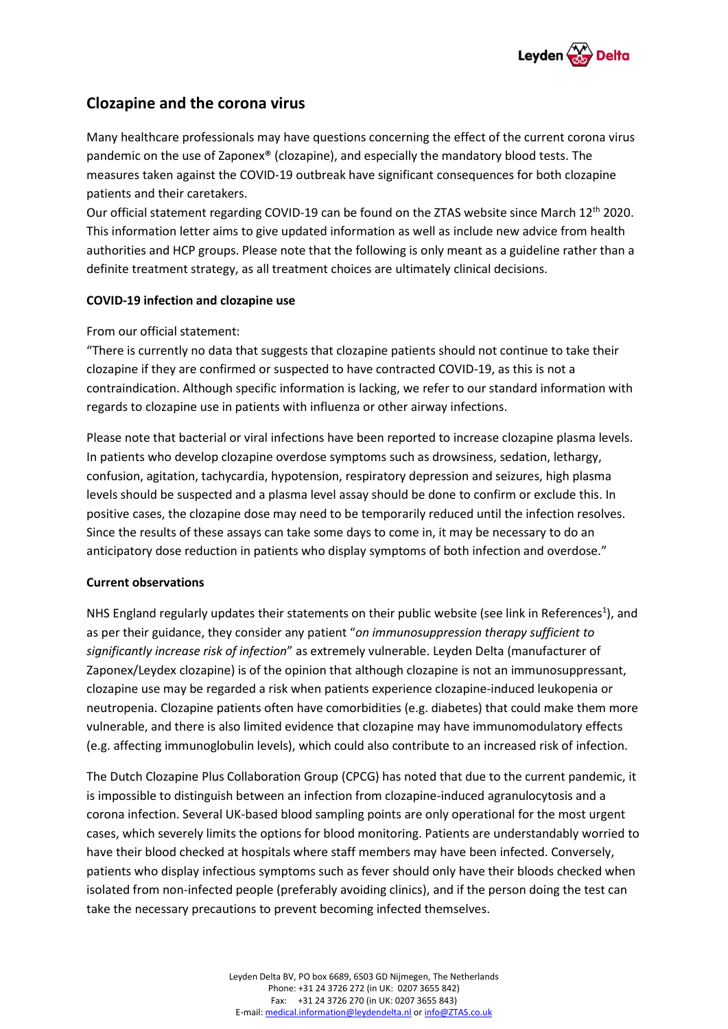

# **Clozapine and the corona virus**

Many healthcare professionals may have questions concerning the effect of the current corona virus pandemic on the use of Zaponex® (clozapine), and especially the mandatory blood tests. The measures taken against the COVID-19 outbreak have significant consequences for both clozapine patients and their caretakers.

Our official statement regarding COVID-19 can be found on the ZTAS website since March 12th 2020. This information letter aims to give updated information as well as include new advice from health authorities and HCP groups. Please note that the following is only meant as a guideline rather than a definite treatment strategy, as all treatment choices are ultimately clinical decisions.

# **COVID-19 infection and clozapine use**

# From our official statement:

"There is currently no data that suggests that clozapine patients should not continue to take their clozapine if they are confirmed or suspected to have contracted COVID-19, as this is not a contraindication. Although specific information is lacking, we refer to our standard information with regards to clozapine use in patients with influenza or other airway infections.

Please note that bacterial or viral infections have been reported to increase clozapine plasma levels. In patients who develop clozapine overdose symptoms such as drowsiness, sedation, lethargy, confusion, agitation, tachycardia, hypotension, respiratory depression and seizures, high plasma levels should be suspected and a plasma level assay should be done to confirm or exclude this. In positive cases, the clozapine dose may need to be temporarily reduced until the infection resolves. Since the results of these assays can take some days to come in, it may be necessary to do an anticipatory dose reduction in patients who display symptoms of both infection and overdose."

# **Current observations**

NHS England regularly updates their statements on their public website (see link in References<sup>1</sup>), and as per their guidance, they consider any patient "*on immunosuppression therapy sufficient to significantly increase risk of infection*" as extremely vulnerable. Leyden Delta (manufacturer of Zaponex/Leydex clozapine) is of the opinion that although clozapine is not an immunosuppressant, clozapine use may be regarded a risk when patients experience clozapine-induced leukopenia or neutropenia. Clozapine patients often have comorbidities (e.g. diabetes) that could make them more vulnerable, and there is also limited evidence that clozapine may have immunomodulatory effects (e.g. affecting immunoglobulin levels), which could also contribute to an increased risk of infection.

The Dutch Clozapine Plus Collaboration Group (CPCG) has noted that due to the current pandemic, it is impossible to distinguish between an infection from clozapine-induced agranulocytosis and a corona infection. Several UK-based blood sampling points are only operational for the most urgent cases, which severely limits the options for blood monitoring. Patients are understandably worried to have their blood checked at hospitals where staff members may have been infected. Conversely, patients who display infectious symptoms such as fever should only have their bloods checked when isolated from non-infected people (preferably avoiding clinics), and if the person doing the test can take the necessary precautions to prevent becoming infected themselves.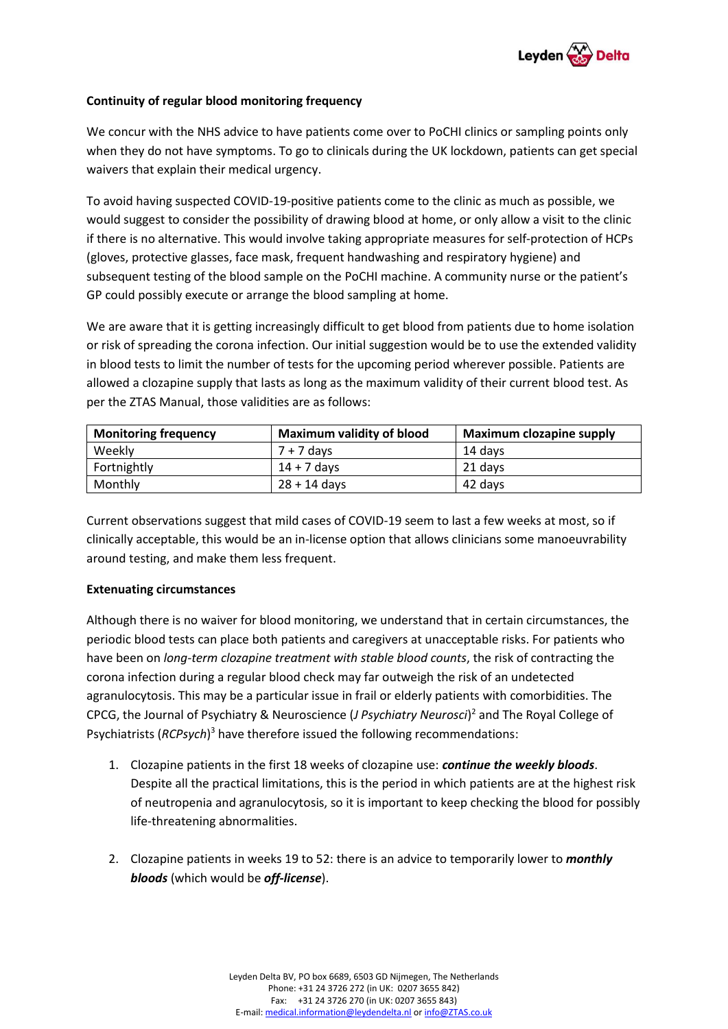

# **Continuity of regular blood monitoring frequency**

We concur with the NHS advice to have patients come over to PoCHI clinics or sampling points only when they do not have symptoms. To go to clinicals during the UK lockdown, patients can get special waivers that explain their medical urgency.

To avoid having suspected COVID-19-positive patients come to the clinic as much as possible, we would suggest to consider the possibility of drawing blood at home, or only allow a visit to the clinic if there is no alternative. This would involve taking appropriate measures for self-protection of HCPs (gloves, protective glasses, face mask, frequent handwashing and respiratory hygiene) and subsequent testing of the blood sample on the PoCHI machine. A community nurse or the patient's GP could possibly execute or arrange the blood sampling at home.

We are aware that it is getting increasingly difficult to get blood from patients due to home isolation or risk of spreading the corona infection. Our initial suggestion would be to use the extended validity in blood tests to limit the number of tests for the upcoming period wherever possible. Patients are allowed a clozapine supply that lasts as long as the maximum validity of their current blood test. As per the ZTAS Manual, those validities are as follows:

| <b>Monitoring frequency</b> | <b>Maximum validity of blood</b> | <b>Maximum clozapine supply</b> |
|-----------------------------|----------------------------------|---------------------------------|
| Weekly                      | $7 + 7$ days                     | 14 davs                         |
| Fortnightly                 | $14 + 7$ davs                    | 21 davs                         |
| Monthly                     | $28 + 14$ davs                   | 42 days                         |

Current observations suggest that mild cases of COVID-19 seem to last a few weeks at most, so if clinically acceptable, this would be an in-license option that allows clinicians some manoeuvrability around testing, and make them less frequent.

# **Extenuating circumstances**

Although there is no waiver for blood monitoring, we understand that in certain circumstances, the periodic blood tests can place both patients and caregivers at unacceptable risks. For patients who have been on *long-term clozapine treatment with stable blood counts*, the risk of contracting the corona infection during a regular blood check may far outweigh the risk of an undetected agranulocytosis. This may be a particular issue in frail or elderly patients with comorbidities. The CPCG, the Journal of Psychiatry & Neuroscience (*J Psychiatry Neurosci*) <sup>2</sup> and The Royal College of Psychiatrists (*RCPsych*) <sup>3</sup> have therefore issued the following recommendations:

- 1. Clozapine patients in the first 18 weeks of clozapine use: *continue the weekly bloods*. Despite all the practical limitations, this is the period in which patients are at the highest risk of neutropenia and agranulocytosis, so it is important to keep checking the blood for possibly life-threatening abnormalities.
- 2. Clozapine patients in weeks 19 to 52: there is an advice to temporarily lower to *monthly bloods* (which would be *off-license*).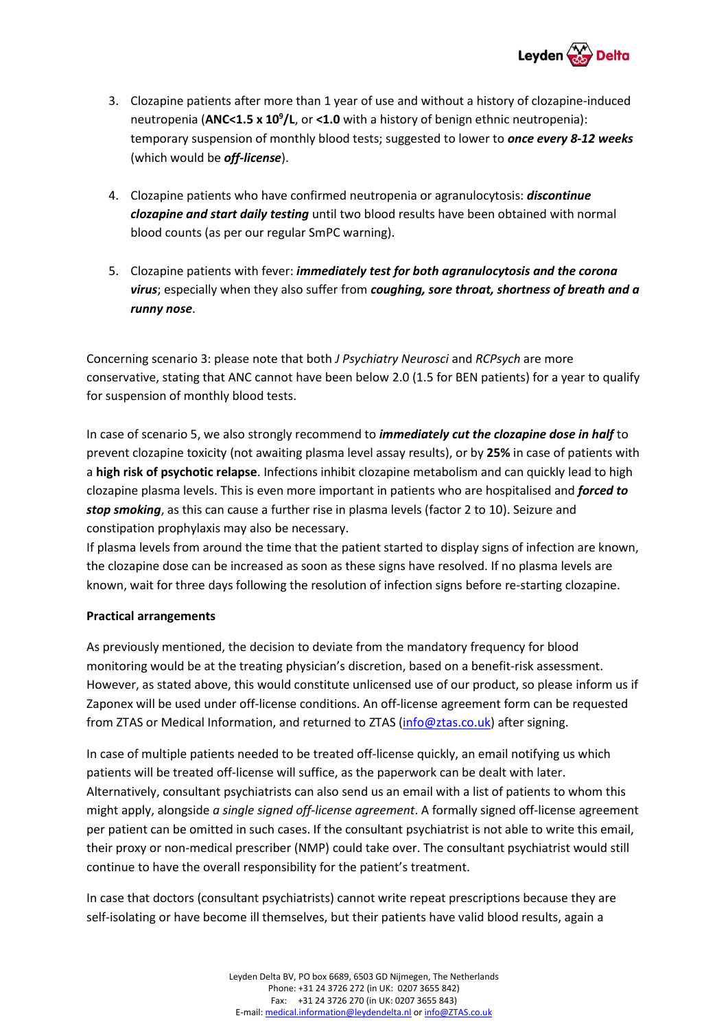

- 3. Clozapine patients after more than 1 year of use and without a history of clozapine-induced neutropenia (**ANC<1.5 x 10<sup>9</sup> /L**, or **<1.0** with a history of benign ethnic neutropenia): temporary suspension of monthly blood tests; suggested to lower to *once every 8-12 weeks*  (which would be *off-license*).
- 4. Clozapine patients who have confirmed neutropenia or agranulocytosis: *discontinue clozapine and start daily testing* until two blood results have been obtained with normal blood counts (as per our regular SmPC warning).
- 5. Clozapine patients with fever: *immediately test for both agranulocytosis and the corona virus*; especially when they also suffer from *coughing, sore throat, shortness of breath and a runny nose*.

Concerning scenario 3: please note that both *J Psychiatry Neurosci* and *RCPsych* are more conservative, stating that ANC cannot have been below 2.0 (1.5 for BEN patients) for a year to qualify for suspension of monthly blood tests.

In case of scenario 5, we also strongly recommend to *immediately cut the clozapine dose in half* to prevent clozapine toxicity (not awaiting plasma level assay results), or by **25%** in case of patients with a **high risk of psychotic relapse**. Infections inhibit clozapine metabolism and can quickly lead to high clozapine plasma levels. This is even more important in patients who are hospitalised and *forced to stop smoking*, as this can cause a further rise in plasma levels (factor 2 to 10). Seizure and constipation prophylaxis may also be necessary.

If plasma levels from around the time that the patient started to display signs of infection are known, the clozapine dose can be increased as soon as these signs have resolved. If no plasma levels are known, wait for three days following the resolution of infection signs before re-starting clozapine.

# **Practical arrangements**

As previously mentioned, the decision to deviate from the mandatory frequency for blood monitoring would be at the treating physician's discretion, based on a benefit-risk assessment. However, as stated above, this would constitute unlicensed use of our product, so please inform us if Zaponex will be used under off-license conditions. An off-license agreement form can be requested from ZTAS or Medical Information, and returned to ZTAS [\(info@ztas.co.uk\)](mailto:info@ztas.co.uk) after signing.

In case of multiple patients needed to be treated off-license quickly, an email notifying us which patients will be treated off-license will suffice, as the paperwork can be dealt with later. Alternatively, consultant psychiatrists can also send us an email with a list of patients to whom this might apply, alongside *a single signed off-license agreement*. A formally signed off-license agreement per patient can be omitted in such cases. If the consultant psychiatrist is not able to write this email, their proxy or non-medical prescriber (NMP) could take over. The consultant psychiatrist would still continue to have the overall responsibility for the patient's treatment.

In case that doctors (consultant psychiatrists) cannot write repeat prescriptions because they are self-isolating or have become ill themselves, but their patients have valid blood results, again a